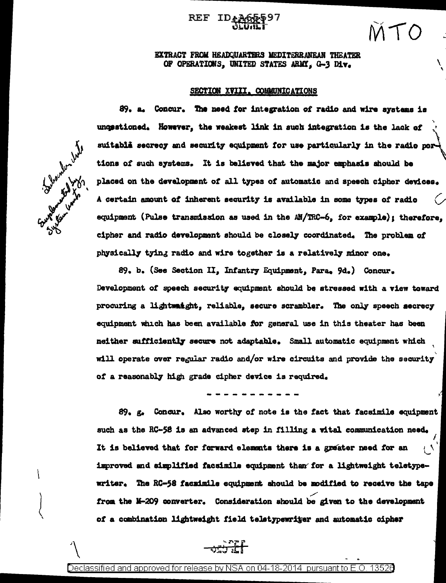## ID CARRY Y

## EXTRACT FROM HEADQUARTERS MEDITERRANEAN THEATER OF OPERATIONS, UNITED STATES ARMY, G-3 Div.

## SECTION XVIII. COMMUNICATIONS

Report to the line

89. a. Concur. The need for integration of radio and wire systems is unopstioned. However, the weakest link in such integration is the lack of suitable secrecy and security equipment for use particularly in the radio por tions of such systems. It is believed that the major emphasis should be placed on the development of all types of automatic and speech cipher devices. A certain amount of inherent security is available in some types of radio equipment (Pulse transmission as used in the AN/TRC-6, for example); therefore, cipher and radio development should be closely coordinated. The problem of physically tying radio and wire together is a relatively minor one.

89. b. (See Section II, Infantry Equipment, Para, 9d.) Concur. Development of speech security equipment should be stressed with a view toward procuring a lightwaight, reliable, secure scrambler. The only speech secrecy equipment which has been available for general use in this theater has been neither sufficiently secure not adaptable. Small automatic equipment which will operate over regular radio and/or wire circuits and provide the security of a reasonably high grade cipher device is required.

89. g. Concur. Also worthy of note is the fact that facsimile equipment such as the RC-58 is an advanced step in filling a vital communication need. It is believed that for forward elements there is a greater need for an Ļ٩ improved and simplified facsimile equipment than for a lightweight teletypewriter. The RC-58 faczimile equipment should be modified to receive the tape from the M-209 converter. Consideration should be given to the development of a combination lightweight field teletypewriter and automatic cipher



Declassified and approved for release by NSA on 04-18-2014  $\,$  pursuant to E.O  $\,$ 13526